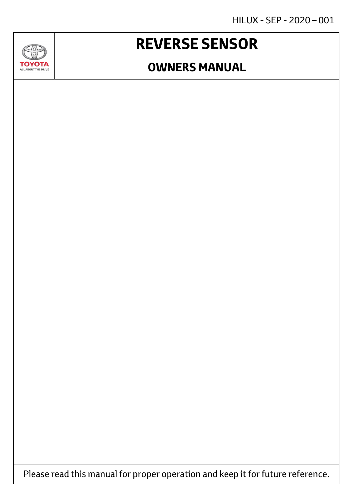HILUX - SEP - 2020 – 001

## **REVERSE SENSOR**

 $\overline{\text{Cov}}$ 

**TOYOTA** ALL ABOUT THE DRIVE

### **OWNERS MANUAL**

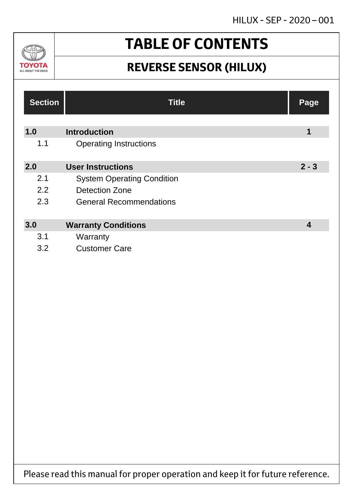

# **TABLE OF CONTENTS**

## **REVERSE SENSOR (HILUX)**

| <b>Section</b> | <b>Title</b>                      | Page    |
|----------------|-----------------------------------|---------|
| 1.0            | <b>Introduction</b>               | 1       |
| 1.1            | <b>Operating Instructions</b>     |         |
| 2.0            | <b>User Instructions</b>          | $2 - 3$ |
| 2.1            | <b>System Operating Condition</b> |         |
| 2.2            | <b>Detection Zone</b>             |         |
| 2.3            | <b>General Recommendations</b>    |         |
|                |                                   |         |
| 3.0            | <b>Warranty Conditions</b>        | 4       |
| 3.1            | Warranty                          |         |
| 3.2            | <b>Customer Care</b>              |         |

Please read this manual for proper operation and keep it for future reference.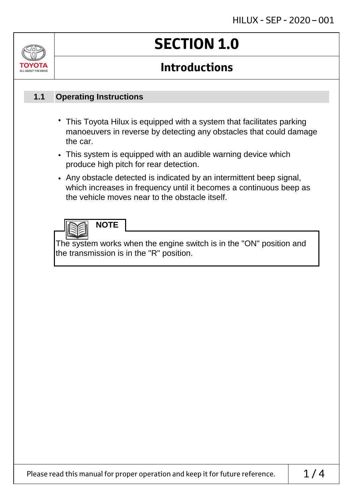# **SECTION 1.0**

## **Introductions**

#### **Operating Instructions 1.1**

- This Toyota Hilux is equipped with a system that facilitates parking manoeuvers in reverse by detecting any obstacles that could damage the car.
- This system is equipped with an audible warning device which produce high pitch for rear detection.
- Any obstacle detected is indicated by an intermittent beep signal, which increases in frequency until it becomes a continuous beep as the vehicle moves near to the obstacle itself.

## **NOTE**

The system works when the engine switch is in the "ON" position and the transmission is in the "R" position.

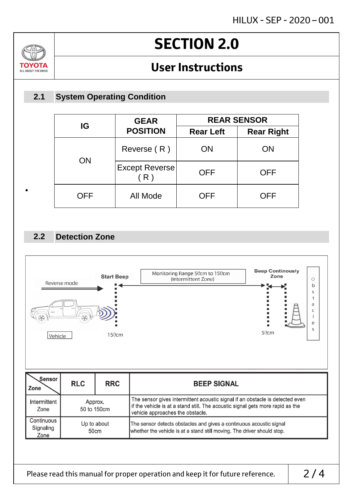# **SECTION 2.0**

## **User Instructions**

#### **System Operating Condition 2.1**

|  | IG         | <b>GEAR</b><br><b>POSITION</b> | <b>REAR SENSOR</b> |                   |
|--|------------|--------------------------------|--------------------|-------------------|
|  |            |                                | <b>Rear Left</b>   | <b>Rear Right</b> |
|  | <b>ON</b>  | Reverse (R)                    | <b>ON</b>          | ON                |
|  |            | Except Reverse<br>(R)          | <b>OFF</b>         | <b>OFF</b>        |
|  | <b>OFF</b> | All Mode                       | <b>OFF</b>         | <b>OFF</b>        |

#### **Detection Zone 2.2**

•

70,

ΤΟΥΟΤΑ ALL ABOUT THE DRIVE



Please read this manual for proper operation and keep it for future reference.  $\begin{array}{|c|c|}\n\hline\n2 & 4\n\end{array}$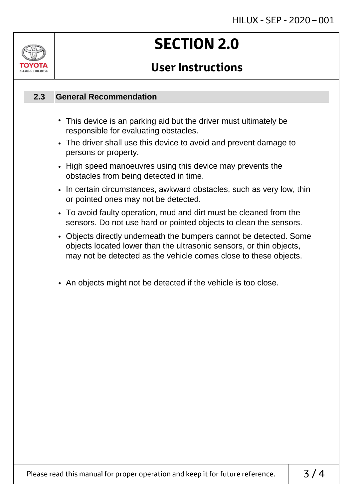# ALL AROUT THE DRIV

# **SECTION 2.0**

## **User Instructions**

#### **General Recommendation 2.3**

- This device is an parking aid but the driver must ultimately be responsible for evaluating obstacles.
- The driver shall use this device to avoid and prevent damage to persons or property.
- High speed manoeuvres using this device may prevents the obstacles from being detected in time.
- In certain circumstances, awkward obstacles, such as very low, thin or pointed ones may not be detected.
- To avoid faulty operation, mud and dirt must be cleaned from the sensors. Do not use hard or pointed objects to clean the sensors.
- Objects directly underneath the bumpers cannot be detected. Some objects located lower than the ultrasonic sensors, or thin objects, may not be detected as the vehicle comes close to these objects.
- An objects might not be detected if the vehicle is too close.